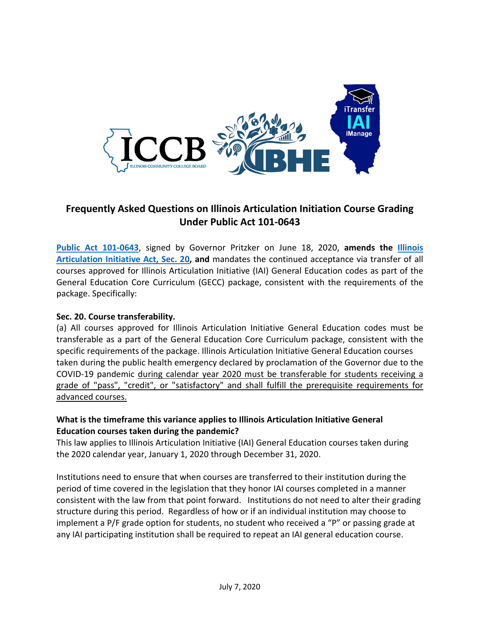

# **Frequently Asked Questions on Illinois Articulation Initiation Course Grading Under Public Act 101-0643**

**[Public Act 101-0643](https://www.ilga.gov/legislation/publicacts/101/101-0643.htm)**, signed by Governor Pritzker on June 18, 2020, **amends the [Illinois](https://www.ilga.gov/legislation/ilcs/ilcs3.asp?ActID=3717&ChapterID=18&Print=True)  [Articulation Initiative Act, Sec. 20,](https://www.ilga.gov/legislation/ilcs/ilcs3.asp?ActID=3717&ChapterID=18&Print=True) and** mandates the continued acceptance via transfer of all courses approved for Illinois Articulation Initiative (IAI) General Education codes as part of the General Education Core Curriculum (GECC) package, consistent with the requirements of the package. Specifically:

## **Sec. 20. Course transferability.**

(a) All courses approved for Illinois Articulation Initiative General Education codes must be transferable as a part of the General Education Core Curriculum package, consistent with the specific requirements of the package. Illinois Articulation Initiative General Education courses taken during the public health emergency declared by proclamation of the Governor due to the COVID-19 pandemic during calendar year 2020 must be transferable for students receiving a grade of "pass", "credit", or "satisfactory" and shall fulfill the prerequisite requirements for advanced courses.

# **What is the timeframe this variance applies to Illinois Articulation Initiative General Education courses taken during the pandemic?**

This law applies to Illinois Articulation Initiative (IAI) General Education courses taken during the 2020 calendar year, January 1, 2020 through December 31, 2020.

Institutions need to ensure that when courses are transferred to their institution during the period of time covered in the legislation that they honor IAI courses completed in a manner consistent with the law from that point forward. Institutions do not need to alter their grading structure during this period. Regardless of how or if an individual institution may choose to implement a P/F grade option for students, no student who received a "P" or passing grade at any IAI participating institution shall be required to repeat an IAI general education course.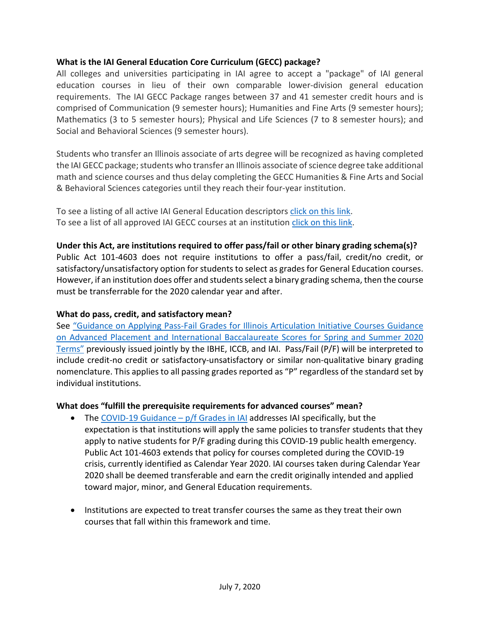## **What is the IAI General Education Core Curriculum (GECC) package?**

All colleges and universities participating in IAI agree to accept a "package" of IAI general education courses in lieu of their own comparable lower-division general education requirements. The IAI GECC Package ranges between 37 and 41 semester credit hours and is comprised of Communication (9 semester hours); Humanities and Fine Arts (9 semester hours); Mathematics (3 to 5 semester hours); Physical and Life Sciences (7 to 8 semester hours); and Social and Behavioral Sciences (9 semester hours).

Students who transfer an Illinois associate of arts degree will be recognized as having completed the IAI GECC package; students who transfer an Illinois associate of science degree take additional math and science courses and thus delay completing the GECC Humanities & Fine Arts and Social & Behavioral Sciences categories until they reach their four-year institution.

To see a listing of all active IAI General Education descriptors click on [this link.](http://itransfer.org/courseinformation/geccdescriptors.php) To see a list of all approved IAI GECC courses at an institution [click on this link.](http://itransfer.org/submitters/searches/geccsearches.php)

**Under this Act, are institutions required to offer pass/fail or other binary grading schema(s)?** Public Act 101-4603 does not require institutions to offer a pass/fail, credit/no credit, or satisfactory/unsatisfactory option for students to select as gradesfor General Education courses. However, if an institution does offer and students select a binary grading schema, then the course must be transferrable for the 2020 calendar year and after.

#### **What do pass, credit, and satisfactory mean?**

See ["Guidance on Applying Pass-Fail Grades for Illinois Articulation Initiative Courses Guidance](https://www.ibhe.org/pdf/Updated_PF_Guidance_Draft_for_Summer-FINAL-5.15.20.pdf)  [on Advanced Placement and International Baccalaureate Scores for Spring and Summer 2020](https://www.ibhe.org/pdf/Updated_PF_Guidance_Draft_for_Summer-FINAL-5.15.20.pdf)  [Terms"](https://www.ibhe.org/pdf/Updated_PF_Guidance_Draft_for_Summer-FINAL-5.15.20.pdf) previously issued jointly by the IBHE, ICCB, and IAI. Pass/Fail (P/F) will be interpreted to include credit-no credit or satisfactory-unsatisfactory or similar non-qualitative binary grading nomenclature. This applies to all passing grades reported as "P" regardless of the standard set by individual institutions.

#### **What does "fulfill the prerequisite requirements for advanced courses" mean?**

- The COVID-19 Guidance  $-p/f$  Grades in IAI addresses IAI specifically, but the expectation is that institutions will apply the same policies to transfer students that they apply to native students for P/F grading during this COVID-19 public health emergency. Public Act 101-4603 extends that policy for courses completed during the COVID-19 crisis, currently identified as Calendar Year 2020. IAI courses taken during Calendar Year 2020 shall be deemed transferable and earn the credit originally intended and applied toward major, minor, and General Education requirements.
- Institutions are expected to treat transfer courses the same as they treat their own courses that fall within this framework and time.